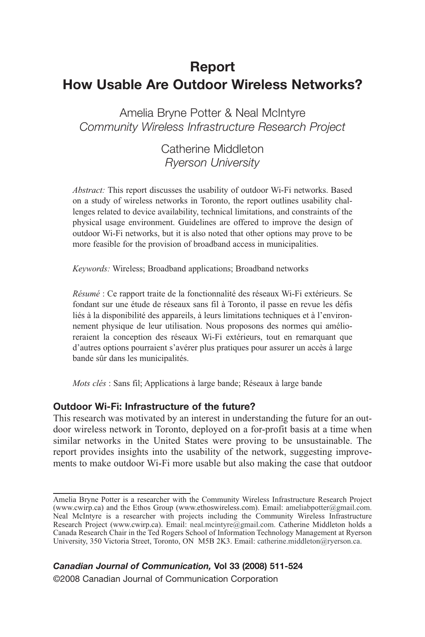# **Report How Usable Are Outdoor Wireless Networks?**

Amelia Bryne Potter & Neal McIntyre *Community Wireless Infrastructure Research Project*

> Catherine Middleton *Ryerson University*

*Abstract:* This report discusses the usability of outdoor Wi-Fi networks. Based on a study of wireless networks in Toronto, the report outlines usability challenges related to device availability, technical limitations, and constraints of the physical usage environment. Guidelines are offered to improve the design of outdoor Wi-Fi networks, but it is also noted that other options may prove to be more feasible for the provision of broadband access in municipalities.

*Keywords:* Wireless; Broadband applications; Broadband networks

*Résumé* : Ce rapport traite de la fonctionnalité des réseaux Wi-Fi extérieurs. Se fondant sur une étude de réseaux sans fil à Toronto, il passe en revue les défis liés à la disponibilité des appareils, à leurs limitations techniques et à l'environnement physique de leur utilisation. Nous proposons des normes qui amélioreraient la conception des réseaux Wi-Fi extérieurs, tout en remarquant que d'autres options pourraient s'avérer plus pratiques pour assurer un accès à large bande sûr dans les municipalités.

*Mots clés* : Sans fil; Applications à large bande; Réseaux à large bande

# **Outdoor Wi-Fi: Infrastructure of the future?**

This research was motivated by an interest in understanding the future for an outdoor wireless network in Toronto, deployed on a for-profit basis at a time when similar networks in the United States were proving to be unsustainable. The report provides insights into the usability of the network, suggesting improvements to make outdoor Wi-Fi more usable but also making the case that outdoor

# *Canadian Journal of Communication,* **Vol 33 (2008) 511-524**

©2008 Canadian Journal of Communication Corporation

Amelia Bryne Potter is a researcher with the Community Wireless Infrastructure Research Project (www.cwirp.ca) and the Ethos Group (www.ethoswireless.com). Email: ameliabpotter@gmail.com. Neal McIntyre is a researcher with projects including the Community Wireless Infrastructure Research Project (www.cwirp.ca). Email: neal.mcintyre@gmail.com. Catherine Middleton holds a Canada Research Chair in the Ted Rogers School of Information Technology Management at Ryerson University, 350 Victoria Street, Toronto, ON M5B 2K3. Email: catherine.middleton@ryerson.ca.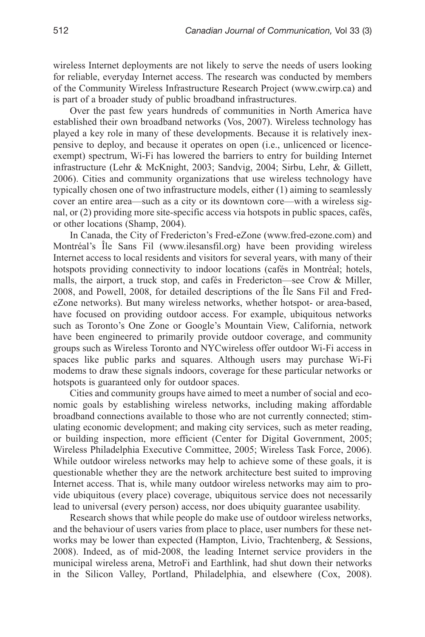wireless Internet deployments are not likely to serve the needs of users looking for reliable, everyday Internet access. The research was conducted by members of the Community Wireless Infrastructure Research Project (www.cwirp.ca) and is part of a broader study of public broadband infrastructures.

Over the past few years hundreds of communities in North America have established their own broadband networks (Vos, 2007). Wireless technology has played a key role in many of these developments. Because it is relatively inexpensive to deploy, and because it operates on open (i.e., unlicenced or licenceexempt) spectrum, Wi-Fi has lowered the barriers to entry for building Internet infrastructure (Lehr & McKnight, 2003; Sandvig, 2004; Sirbu, Lehr, & Gillett, 2006). Cities and community organizations that use wireless technology have typically chosen one of two infrastructure models, either (1) aiming to seamlessly cover an entire area—such as a city or its downtown core—with a wireless signal, or (2) providing more site-specific access via hotspots in public spaces, cafés, or other locations (Shamp, 2004).

In Canada, the City of Fredericton's Fred-eZone (www.fred-ezone.com) and Montréal's Île Sans Fil (www.ilesansfil.org) have been providing wireless Internet access to local residents and visitors for several years, with many of their hotspots providing connectivity to indoor locations (cafés in Montréal; hotels, malls, the airport, a truck stop, and cafés in Fredericton—see Crow & Miller, 2008, and Powell, 2008, for detailed descriptions of the Île Sans Fil and FredeZone networks). But many wireless networks, whether hotspot- or area-based, have focused on providing outdoor access. For example, ubiquitous networks such as Toronto's One Zone or Google's Mountain View, California, network have been engineered to primarily provide outdoor coverage, and community groups such as Wireless Toronto and NYCwireless offer outdoor Wi-Fi access in spaces like public parks and squares. Although users may purchase Wi-Fi modems to draw these signals indoors, coverage for these particular networks or hotspots is guaranteed only for outdoor spaces.

Cities and community groups have aimed to meet a number of social and economic goals by establishing wireless networks, including making affordable broadband connections available to those who are not currently connected; stimulating economic development; and making city services, such as meter reading, or building inspection, more efficient (Center for Digital Government, 2005; Wireless Philadelphia Executive Committee, 2005; Wireless Task Force, 2006). While outdoor wireless networks may help to achieve some of these goals, it is questionable whether they are the network architecture best suited to improving Internet access. That is, while many outdoor wireless networks may aim to provide ubiquitous (every place) coverage, ubiquitous service does not necessarily lead to universal (every person) access, nor does ubiquity guarantee usability.

Research shows that while people do make use of outdoor wireless networks, and the behaviour of users varies from place to place, user numbers for these networks may be lower than expected (Hampton, Livio, Trachtenberg, & Sessions, 2008). Indeed, as of mid-2008, the leading Internet service providers in the municipal wireless arena, MetroFi and Earthlink, had shut down their networks in the Silicon Valley, Portland, Philadelphia, and elsewhere (Cox, 2008).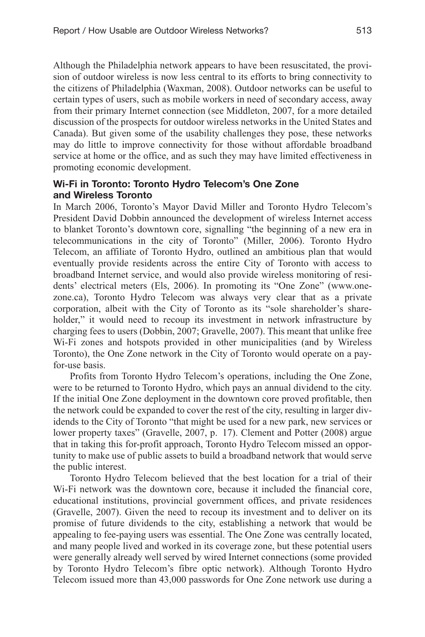Although the Philadelphia network appears to have been resuscitated, the provision of outdoor wireless is now less central to its efforts to bring connectivity to the citizens of Philadelphia (Waxman, 2008). Outdoor networks can be useful to certain types of users, such as mobile workers in need of secondary access, away from their primary Internet connection (see Middleton, 2007, for a more detailed discussion of the prospects for outdoor wireless networks in the United States and Canada). But given some of the usability challenges they pose, these networks may do little to improve connectivity for those without affordable broadband service at home or the office, and as such they may have limited effectiveness in promoting economic development.

## **Wi-Fi in Toronto: Toronto Hydro Telecom's One Zone and Wireless Toronto**

In March 2006, Toronto's Mayor David Miller and Toronto Hydro Telecom's President David Dobbin announced the development of wireless Internet access to blanket Toronto's downtown core, signalling "the beginning of a new era in telecommunications in the city of Toronto" (Miller, 2006). Toronto Hydro Telecom, an affiliate of Toronto Hydro, outlined an ambitious plan that would eventually provide residents across the entire City of Toronto with access to broadband Internet service, and would also provide wireless monitoring of residents' electrical meters (Els, 2006). In promoting its "One Zone" (www.onezone.ca), Toronto Hydro Telecom was always very clear that as a private corporation, albeit with the City of Toronto as its "sole shareholder's shareholder," it would need to recoup its investment in network infrastructure by charging fees to users (Dobbin, 2007; Gravelle, 2007). This meant that unlike free Wi-Fi zones and hotspots provided in other municipalities (and by Wireless Toronto), the One Zone network in the City of Toronto would operate on a payfor-use basis.

Profits from Toronto Hydro Telecom's operations, including the One Zone, were to be returned to Toronto Hydro, which pays an annual dividend to the city. If the initial One Zone deployment in the downtown core proved profitable, then the network could be expanded to cover the rest of the city, resulting in larger dividends to the City of Toronto "that might be used for a new park, new services or lower property taxes" (Gravelle, 2007, p. 17). Clement and Potter (2008) argue that in taking this for-profit approach, Toronto Hydro Telecom missed an opportunity to make use of public assets to build a broadband network that would serve the public interest.

Toronto Hydro Telecom believed that the best location for a trial of their Wi-Fi network was the downtown core, because it included the financial core, educational institutions, provincial government offices, and private residences (Gravelle, 2007). Given the need to recoup its investment and to deliver on its promise of future dividends to the city, establishing a network that would be appealing to fee-paying users was essential. The One Zone was centrally located, and many people lived and worked in its coverage zone, but these potential users were generally already well served by wired Internet connections (some provided by Toronto Hydro Telecom's fibre optic network). Although Toronto Hydro Telecom issued more than 43,000 passwords for One Zone network use during a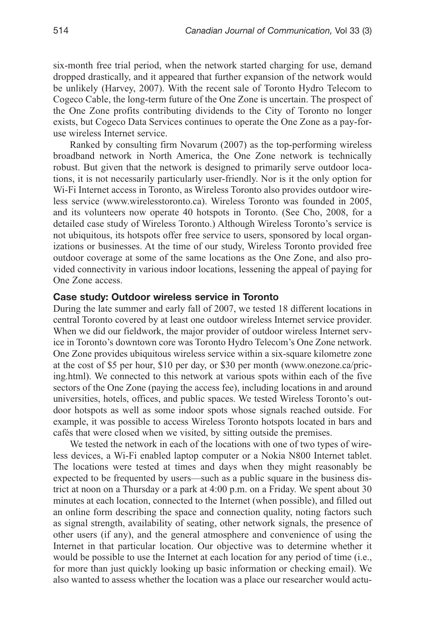six-month free trial period, when the network started charging for use, demand dropped drastically, and it appeared that further expansion of the network would be unlikely (Harvey, 2007). With the recent sale of Toronto Hydro Telecom to Cogeco Cable, the long-term future of the One Zone is uncertain. The prospect of the One Zone profits contributing dividends to the City of Toronto no longer exists, but Cogeco Data Services continues to operate the One Zone as a pay-foruse wireless Internet service.

Ranked by consulting firm Novarum (2007) as the top-performing wireless broadband network in North America, the One Zone network is technically robust. But given that the network is designed to primarily serve outdoor locations, it is not necessarily particularly user-friendly. Nor is it the only option for Wi-Fi Internet access in Toronto, as Wireless Toronto also provides outdoor wireless service (www.wirelesstoronto.ca). Wireless Toronto was founded in 2005, and its volunteers now operate 40 hotspots in Toronto. (See Cho, 2008, for a detailed case study of Wireless Toronto.) Although Wireless Toronto's service is not ubiquitous, its hotspots offer free service to users, sponsored by local organizations or businesses. At the time of our study, Wireless Toronto provided free outdoor coverage at some of the same locations as the One Zone, and also provided connectivity in various indoor locations, lessening the appeal of paying for One Zone access.

## **Case study: Outdoor wireless service in Toronto**

During the late summer and early fall of 2007, we tested 18 different locations in central Toronto covered by at least one outdoor wireless Internet service provider. When we did our fieldwork, the major provider of outdoor wireless Internet service in Toronto's downtown core was Toronto Hydro Telecom's One Zone network. One Zone provides ubiquitous wireless service within a six-square kilometre zone at the cost of \$5 per hour, \$10 per day, or \$30 per month (www.onezone.ca/pricing.html). We connected to this network at various spots within each of the five sectors of the One Zone (paying the access fee), including locations in and around universities, hotels, offices, and public spaces. We tested Wireless Toronto's outdoor hotspots as well as some indoor spots whose signals reached outside. For example, it was possible to access Wireless Toronto hotspots located in bars and cafés that were closed when we visited, by sitting outside the premises.

We tested the network in each of the locations with one of two types of wireless devices, a Wi-Fi enabled laptop computer or a Nokia N800 Internet tablet. The locations were tested at times and days when they might reasonably be expected to be frequented by users—such as a public square in the business district at noon on a Thursday or a park at 4:00 p.m. on a Friday. We spent about 30 minutes at each location, connected to the Internet (when possible), and filled out an online form describing the space and connection quality, noting factors such as signal strength, availability of seating, other network signals, the presence of other users (if any), and the general atmosphere and convenience of using the Internet in that particular location. Our objective was to determine whether it would be possible to use the Internet at each location for any period of time (i.e., for more than just quickly looking up basic information or checking email). We also wanted to assess whether the location was a place our researcher would actu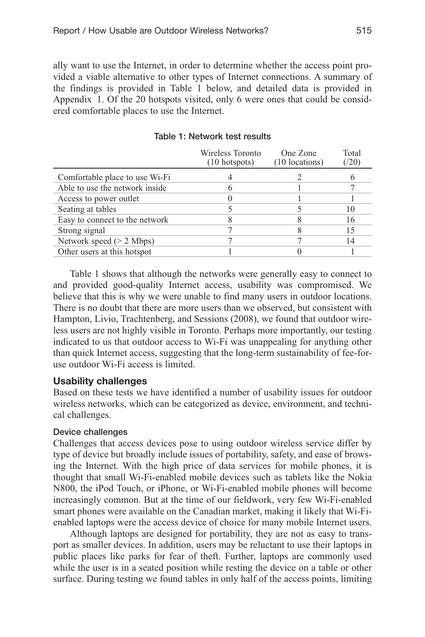ally want to use the Internet, in order to determine whether the access point provided a viable alternative to other types of Internet connections. A summary of the findings is provided in Table 1 below, and detailed data is provided in Appendix 1. Of the 20 hotspots visited, only 6 were ones that could be considered comfortable places to use the Internet.

|                                 | Wireless Toronto<br>$(10 \text{ hotspots})$ | One Zone<br>(10 locations) | Total<br>(20) |
|---------------------------------|---------------------------------------------|----------------------------|---------------|
| Comfortable place to use Wi-Fi  |                                             |                            |               |
| Able to use the network inside. |                                             |                            |               |
| Access to power outlet          |                                             |                            |               |
| Seating at tables               |                                             |                            | 10            |
| Easy to connect to the network  |                                             |                            | 16            |
| Strong signal                   |                                             |                            | 15            |
| Network speed $(> 2$ Mbps)      |                                             |                            | 14            |
| Other users at this hotspot     |                                             |                            |               |

#### Table 1: Network test results

Table 1 shows that although the networks were generally easy to connect to and provided good-quality Internet access, usability was compromised. We believe that this is why we were unable to find many users in outdoor locations. There is no doubt that there are more users than we observed, but consistent with Hampton, Livio, Trachtenberg, and Sessions (2008), we found that outdoor wireless users are not highly visible in Toronto. Perhaps more importantly, our testing indicated to us that outdoor access to Wi-Fi was unappealing for anything other than quick Internet access, suggesting that the long-term sustainability of fee-foruse outdoor Wi-Fi access is limited.

#### **Usability challenges**

Based on these tests we have identified a number of usability issues for outdoor wireless networks, which can be categorized as device, environment, and technical challenges.

#### Device challenges

Challenges that access devices pose to using outdoor wireless service differ by type of device but broadly include issues of portability, safety, and ease of browsing the Internet. With the high price of data services for mobile phones, it is thought that small Wi-Fi-enabled mobile devices such as tablets like the Nokia N800, the iPod Touch, or iPhone, or Wi-Fi-enabled mobile phones will become increasingly common. But at the time of our fieldwork, very few Wi-Fi-enabled smart phones were available on the Canadian market, making it likely that Wi-Fienabled laptops were the access device of choice for many mobile Internet users.

Although laptops are designed for portability, they are not as easy to transport as smaller devices. In addition, users may be reluctant to use their laptops in public places like parks for fear of theft. Further, laptops are commonly used while the user is in a seated position while resting the device on a table or other surface. During testing we found tables in only half of the access points, limiting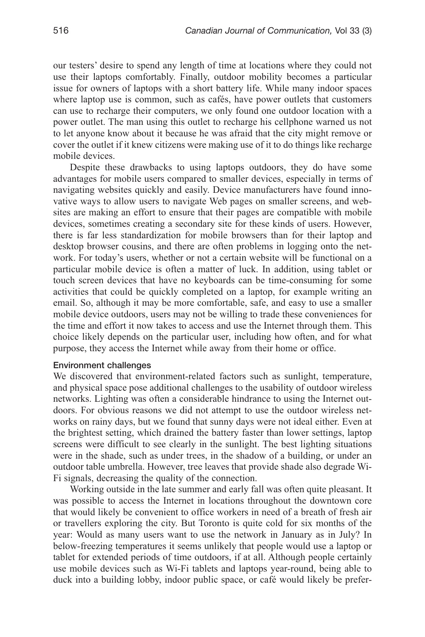our testers' desire to spend any length of time at locations where they could not use their laptops comfortably. Finally, outdoor mobility becomes a particular issue for owners of laptops with a short battery life. While many indoor spaces where laptop use is common, such as cafés, have power outlets that customers can use to recharge their computers, we only found one outdoor location with a power outlet. The man using this outlet to recharge his cellphone warned us not to let anyone know about it because he was afraid that the city might remove or cover the outlet if it knew citizens were making use of it to do things like recharge mobile devices.

Despite these drawbacks to using laptops outdoors, they do have some advantages for mobile users compared to smaller devices, especially in terms of navigating websites quickly and easily. Device manufacturers have found innovative ways to allow users to navigate Web pages on smaller screens, and websites are making an effort to ensure that their pages are compatible with mobile devices, sometimes creating a secondary site for these kinds of users. However, there is far less standardization for mobile browsers than for their laptop and desktop browser cousins, and there are often problems in logging onto the network. For today's users, whether or not a certain website will be functional on a particular mobile device is often a matter of luck. In addition, using tablet or touch screen devices that have no keyboards can be time-consuming for some activities that could be quickly completed on a laptop, for example writing an email. So, although it may be more comfortable, safe, and easy to use a smaller mobile device outdoors, users may not be willing to trade these conveniences for the time and effort it now takes to access and use the Internet through them. This choice likely depends on the particular user, including how often, and for what purpose, they access the Internet while away from their home or office.

#### Environment challenges

We discovered that environment-related factors such as sunlight, temperature, and physical space pose additional challenges to the usability of outdoor wireless networks. Lighting was often a considerable hindrance to using the Internet outdoors. For obvious reasons we did not attempt to use the outdoor wireless networks on rainy days, but we found that sunny days were not ideal either. Even at the brightest setting, which drained the battery faster than lower settings, laptop screens were difficult to see clearly in the sunlight. The best lighting situations were in the shade, such as under trees, in the shadow of a building, or under an outdoor table umbrella. However, tree leaves that provide shade also degrade Wi-Fi signals, decreasing the quality of the connection.

Working outside in the late summer and early fall was often quite pleasant. It was possible to access the Internet in locations throughout the downtown core that would likely be convenient to office workers in need of a breath of fresh air or travellers exploring the city. But Toronto is quite cold for six months of the year: Would as many users want to use the network in January as in July? In below-freezing temperatures it seems unlikely that people would use a laptop or tablet for extended periods of time outdoors, if at all. Although people certainly use mobile devices such as Wi-Fi tablets and laptops year-round, being able to duck into a building lobby, indoor public space, or café would likely be prefer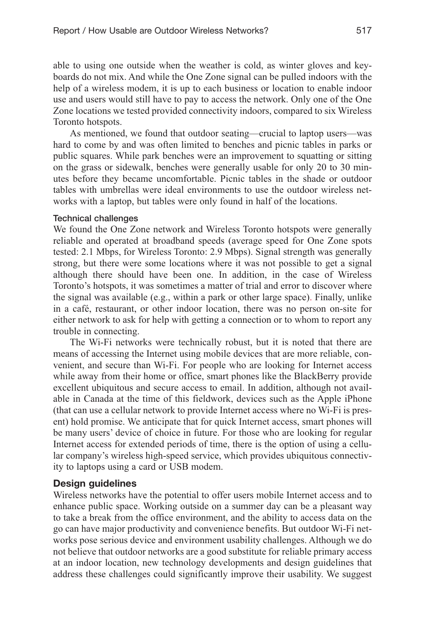able to using one outside when the weather is cold, as winter gloves and keyboards do not mix. And while the One Zone signal can be pulled indoors with the help of a wireless modem, it is up to each business or location to enable indoor use and users would still have to pay to access the network. Only one of the One Zone locations we tested provided connectivity indoors, compared to six Wireless Toronto hotspots.

As mentioned, we found that outdoor seating—crucial to laptop users—was hard to come by and was often limited to benches and picnic tables in parks or public squares. While park benches were an improvement to squatting or sitting on the grass or sidewalk, benches were generally usable for only 20 to 30 minutes before they became uncomfortable. Picnic tables in the shade or outdoor tables with umbrellas were ideal environments to use the outdoor wireless networks with a laptop, but tables were only found in half of the locations.

#### Technical challenges

We found the One Zone network and Wireless Toronto hotspots were generally reliable and operated at broadband speeds (average speed for One Zone spots tested: 2.1 Mbps, for Wireless Toronto: 2.9 Mbps). Signal strength was generally strong, but there were some locations where it was not possible to get a signal although there should have been one. In addition, in the case of Wireless Toronto's hotspots, it was sometimes a matter of trial and error to discover where the signal was available (e.g., within a park or other large space). Finally, unlike in a café, restaurant, or other indoor location, there was no person on-site for either network to ask for help with getting a connection or to whom to report any trouble in connecting.

The Wi-Fi networks were technically robust, but it is noted that there are means of accessing the Internet using mobile devices that are more reliable, convenient, and secure than Wi-Fi. For people who are looking for Internet access while away from their home or office, smart phones like the BlackBerry provide excellent ubiquitous and secure access to email. In addition, although not available in Canada at the time of this fieldwork, devices such as the Apple iPhone (that can use a cellular network to provide Internet access where no Wi-Fi is present) hold promise. We anticipate that for quick Internet access, smart phones will be many users' device of choice in future. For those who are looking for regular Internet access for extended periods of time, there is the option of using a cellular company's wireless high-speed service, which provides ubiquitous connectivity to laptops using a card or USB modem.

### **Design guidelines**

Wireless networks have the potential to offer users mobile Internet access and to enhance public space. Working outside on a summer day can be a pleasant way to take a break from the office environment, and the ability to access data on the go can have major productivity and convenience benefits. But outdoor Wi-Fi networks pose serious device and environment usability challenges. Although we do not believe that outdoor networks are a good substitute for reliable primary access at an indoor location, new technology developments and design guidelines that address these challenges could significantly improve their usability. We suggest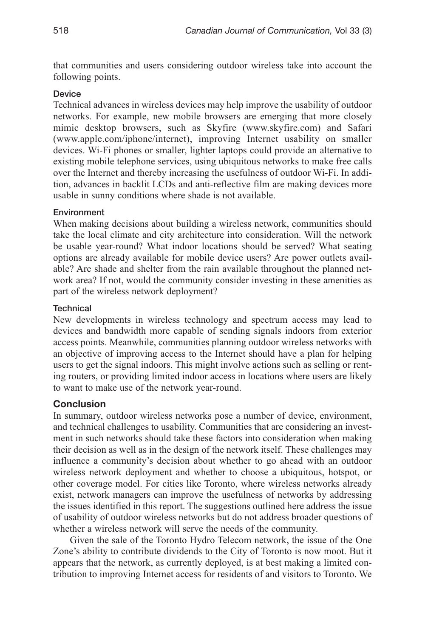that communities and users considering outdoor wireless take into account the following points.

## Device

Technical advances in wireless devices may help improve the usability of outdoor networks. For example, new mobile browsers are emerging that more closely mimic desktop browsers, such as Skyfire (www.skyfire.com) and Safari (www.apple.com/iphone/internet), improving Internet usability on smaller devices. Wi-Fi phones or smaller, lighter laptops could provide an alternative to existing mobile telephone services, using ubiquitous networks to make free calls over the Internet and thereby increasing the usefulness of outdoor Wi-Fi. In addition, advances in backlit LCDs and anti-reflective film are making devices more usable in sunny conditions where shade is not available.

## Environment

When making decisions about building a wireless network, communities should take the local climate and city architecture into consideration. Will the network be usable year-round? What indoor locations should be served? What seating options are already available for mobile device users? Are power outlets available? Are shade and shelter from the rain available throughout the planned network area? If not, would the community consider investing in these amenities as part of the wireless network deployment?

#### **Technical**

New developments in wireless technology and spectrum access may lead to devices and bandwidth more capable of sending signals indoors from exterior access points. Meanwhile, communities planning outdoor wireless networks with an objective of improving access to the Internet should have a plan for helping users to get the signal indoors. This might involve actions such as selling or renting routers, or providing limited indoor access in locations where users are likely to want to make use of the network year-round.

## **Conclusion**

In summary, outdoor wireless networks pose a number of device, environment, and technical challenges to usability. Communities that are considering an investment in such networks should take these factors into consideration when making their decision as well as in the design of the network itself. These challenges may influence a community's decision about whether to go ahead with an outdoor wireless network deployment and whether to choose a ubiquitous, hotspot, or other coverage model. For cities like Toronto, where wireless networks already exist, network managers can improve the usefulness of networks by addressing the issues identified in this report. The suggestions outlined here address the issue of usability of outdoor wireless networks but do not address broader questions of whether a wireless network will serve the needs of the community.

Given the sale of the Toronto Hydro Telecom network, the issue of the One Zone's ability to contribute dividends to the City of Toronto is now moot. But it appears that the network, as currently deployed, is at best making a limited contribution to improving Internet access for residents of and visitors to Toronto. We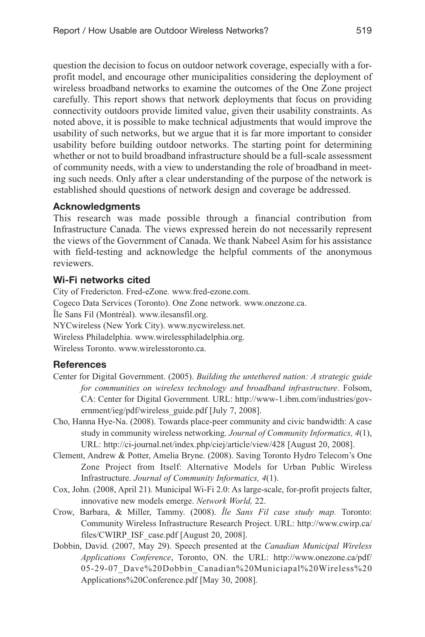question the decision to focus on outdoor network coverage, especially with a forprofit model, and encourage other municipalities considering the deployment of wireless broadband networks to examine the outcomes of the One Zone project carefully. This report shows that network deployments that focus on providing connectivity outdoors provide limited value, given their usability constraints. As noted above, it is possible to make technical adjustments that would improve the usability of such networks, but we argue that it is far more important to consider usability before building outdoor networks. The starting point for determining whether or not to build broadband infrastructure should be a full-scale assessment of community needs, with a view to understanding the role of broadband in meeting such needs. Only after a clear understanding of the purpose of the network is established should questions of network design and coverage be addressed.

#### **Acknowledgments**

This research was made possible through a financial contribution from Infrastructure Canada. The views expressed herein do not necessarily represent the views of the Government of Canada. We thank Nabeel Asim for his assistance with field-testing and acknowledge the helpful comments of the anonymous reviewers.

# **Wi-Fi networks cited**

City of Fredericton. Fred-eZone. www.fred-ezone.com. Cogeco Data Services (Toronto). One Zone network. www.onezone.ca. Île Sans Fil (Montréal). www.ilesansfil.org. NYCwireless (New York City). www.nycwireless.net. Wireless Philadelphia. www.wirelessphiladelphia.org. Wireless Toronto. www.wirelesstoronto.ca.

# **References**

- Center for Digital Government. (2005). *Building the untethered nation: A strategic guide for communities on wireless technology and broadband infrastructure*. Folsom, CA: Center for Digital Government. URL: http://www-1.ibm.com/industries/government/ieg/pdf/wireless\_guide.pdf [July 7, 2008].
- Cho, Hanna Hye-Na. (2008). Towards place-peer community and civic bandwidth: A case study in community wireless networking. *Journal of Community Informatics, 4*(1), URL: http://ci-journal.net/index.php/ciej/article/view/428 [August 20, 2008].
- Clement, Andrew & Potter, Amelia Bryne. (2008). Saving Toronto Hydro Telecom's One Zone Project from Itself: Alternative Models for Urban Public Wireless Infrastructure. *Journal of Community Informatics, 4*(1).
- Cox, John. (2008, April 21). Municipal Wi-Fi 2.0: As large-scale, for-profit projects falter, innovative new models emerge. *Network World,* 22.
- Crow, Barbara, & Miller, Tammy. (2008). *Île Sans Fil case study map.* Toronto: Community Wireless Infrastructure Research Project. URL: http://www.cwirp.ca/ files/CWIRP\_ISF\_case.pdf [August 20, 2008].
- Dobbin, David. (2007, May 29). Speech presented at the *Canadian Municipal Wireless Applications Conference*, Toronto, ON. the URL: http://www.onezone.ca/pdf/ 05-29-07\_Dave%20Dobbin\_Canadian%20Municiapal%20Wireless%20 Applications%20Conference.pdf [May 30, 2008].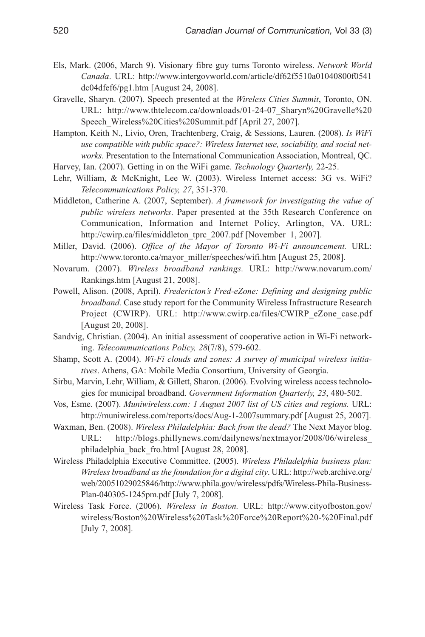- Els, Mark. (2006, March 9). Visionary fibre guy turns Toronto wireless. *Network World Canada*. URL: http://www.intergovworld.com/article/df62f5510a01040800f0541 dc04dfef6/pg1.htm [August 24, 2008].
- Gravelle, Sharyn. (2007). Speech presented at the *Wireless Cities Summit*, Toronto, ON. URL: http://www.thtelecom.ca/downloads/01-24-07\_Sharyn%20Gravelle%20 Speech\_Wireless%20Cities%20Summit.pdf [April 27, 2007].
- Hampton, Keith N., Livio, Oren, Trachtenberg, Craig, & Sessions, Lauren. (2008). *Is WiFi use compatible with public space?: Wireless Internet use, sociability, and social networks*. Presentation to the International Communication Association, Montreal, QC.
- Harvey, Ian. (2007). Getting in on the WiFi game. *Technology Quarterly,* 22-25.
- Lehr, William, & McKnight, Lee W. (2003). Wireless Internet access: 3G vs. WiFi? *Telecommunications Policy, 27*, 351-370.
- Middleton, Catherine A. (2007, September). *A framework for investigating the value of public wireless networks*. Paper presented at the 35th Research Conference on Communication, Information and Internet Policy, Arlington, VA. URL: http://cwirp.ca/files/middleton\_tprc\_2007.pdf [November 1, 2007].
- Miller, David. (2006). *Office of the Mayor of Toronto Wi-Fi announcement.* URL: http://www.toronto.ca/mayor\_miller/speeches/wifi.htm [August 25, 2008].
- Novarum. (2007). *Wireless broadband rankings.* URL: http://www.novarum.com/ Rankings.htm [August 21, 2008].
- Powell, Alison. (2008, April). *Fredericton's Fred-eZone: Defining and designing public broadband.* Case study report for the Community Wireless Infrastructure Research Project (CWIRP). URL: http://www.cwirp.ca/files/CWIRP\_eZone\_case.pdf [August 20, 2008].
- Sandvig, Christian. (2004). An initial assessment of cooperative action in Wi-Fi networking. *Telecommunications Policy, 28*(7/8), 579-602.
- Shamp, Scott A. (2004). *Wi-Fi clouds and zones: A survey of municipal wireless initiatives*. Athens, GA: Mobile Media Consortium, University of Georgia.
- Sirbu, Marvin, Lehr, William, & Gillett, Sharon. (2006). Evolving wireless access technologies for municipal broadband. *Government Information Quarterly, 23*, 480-502.
- Vos, Esme. (2007). *Muniwireless.com: 1 August 2007 list of US cities and regions.* URL: http://muniwireless.com/reports/docs/Aug-1-2007summary.pdf [August 25, 2007].
- Waxman, Ben. (2008). *Wireless Philadelphia: Back from the dead?* The Next Mayor blog. URL: http://blogs.phillynews.com/dailynews/nextmayor/2008/06/wireless\_ philadelphia\_back\_fro.html [August 28, 2008].
- Wireless Philadelphia Executive Committee. (2005). *Wireless Philadelphia business plan: Wireless broadband as the foundation for a digital city*. URL: http://web.archive.org/ web/20051029025846/http://www.phila.gov/wireless/pdfs/Wireless-Phila-Business-Plan-040305-1245pm.pdf [July 7, 2008].
- Wireless Task Force. (2006). *Wireless in Boston.* URL: http://www.cityofboston.gov/ wireless/Boston%20Wireless%20Task%20Force%20Report%20-%20Final.pdf [July 7, 2008].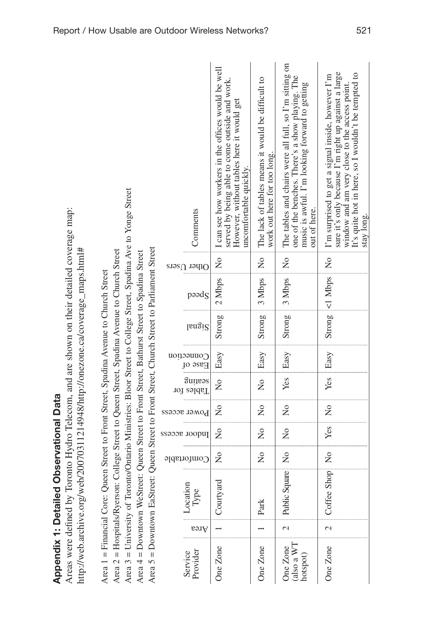| The tables and chairs were all full, so I'm sitting on<br>I can see how workers in the offices would be well<br>one of the benches. There's a show playing. The<br>The lack of tables means it would be difficult to<br>served by being able to come outside and work.<br>music is awful. I'm looking forward to getting<br>However, without tables here it would get<br>work out here for too long.<br>uncomfortable quickly.<br>Area 3 = University of Toronto/Ontario Ministries: Bloor Street to College Street, Spadina Ave to Yonge Street<br>Areas were defined by Toronto Hydro Telecom, and are shown on their detailed coverage map:<br>out of here.<br>Comments<br>Area 5 = Downtown EaStreet: Queen Street to Front Street, Church Street to Parliament Street<br>http://web.archive.org/web/20070311214948/http://onezone.ca/coverage_maps.html#<br>Area 2 = Hospitals/Ryerson: College Street to Queen Street, Spadina Avenue to Church Street<br>Area 4 = Downtown WeStreet: Queen Street to Front Street, Bathurst Street to Spadina Street<br>$\frac{1}{2}$<br>$\overline{a}$<br>$\mathsf{S}^{\circ}$<br>2ther Users<br>Area 1 = Financial Core: Queen Street to Front Street, Spadina Avenue to Church Street<br>3 Mbps<br>2 Mbps<br>3 Mbps<br>poods<br><b>Strong</b><br><b>Strong</b><br>Strong<br><b>Signal</b><br>Easy<br>Easy<br>Easy<br>Connection<br>Ease of<br>Yes<br>$\frac{1}{2}$<br>rables for<br>Suits<br>ż<br>$\frac{1}{2}$<br>$\frac{1}{2}$<br>$\tilde{z}$<br>Power access<br>$\frac{1}{2}$<br>$\tilde{z}$<br>$\tilde{z}$<br>puoor scess<br>$\frac{1}{2}$<br>$\frac{1}{2}$<br>$\overline{\mathsf{R}}$<br>Comfortable<br>Public Square<br>Courtyard<br>Location<br>Type<br>Park<br>2<br>Area<br>(also a W <sub>I</sub><br>One Zone<br>One Zone<br>One Zone<br>Provider<br>Service<br>hotspot) | sure it's only because I'm right up against a large<br>It's quite hot in here, so I wouldn't be tempted to<br>I'm surprised to get a signal inside, however I'm<br>window and am very close to the access point<br>$\overline{a}$<br>Strong <1 Mbps<br>Easy<br>Yes<br>$\mathsf{S}^{\mathsf{O}}$<br>Yes<br>$\tilde{z}$<br>ee Shop<br>Coff<br>$\mathbf{C}$<br>One Zone |
|-----------------------------------------------------------------------------------------------------------------------------------------------------------------------------------------------------------------------------------------------------------------------------------------------------------------------------------------------------------------------------------------------------------------------------------------------------------------------------------------------------------------------------------------------------------------------------------------------------------------------------------------------------------------------------------------------------------------------------------------------------------------------------------------------------------------------------------------------------------------------------------------------------------------------------------------------------------------------------------------------------------------------------------------------------------------------------------------------------------------------------------------------------------------------------------------------------------------------------------------------------------------------------------------------------------------------------------------------------------------------------------------------------------------------------------------------------------------------------------------------------------------------------------------------------------------------------------------------------------------------------------------------------------------------------------------------------------------------------------------------------------------------------------------------------------------------------|----------------------------------------------------------------------------------------------------------------------------------------------------------------------------------------------------------------------------------------------------------------------------------------------------------------------------------------------------------------------|
|-----------------------------------------------------------------------------------------------------------------------------------------------------------------------------------------------------------------------------------------------------------------------------------------------------------------------------------------------------------------------------------------------------------------------------------------------------------------------------------------------------------------------------------------------------------------------------------------------------------------------------------------------------------------------------------------------------------------------------------------------------------------------------------------------------------------------------------------------------------------------------------------------------------------------------------------------------------------------------------------------------------------------------------------------------------------------------------------------------------------------------------------------------------------------------------------------------------------------------------------------------------------------------------------------------------------------------------------------------------------------------------------------------------------------------------------------------------------------------------------------------------------------------------------------------------------------------------------------------------------------------------------------------------------------------------------------------------------------------------------------------------------------------------------------------------------------------|----------------------------------------------------------------------------------------------------------------------------------------------------------------------------------------------------------------------------------------------------------------------------------------------------------------------------------------------------------------------|

**A p p e n dix 1: D**

**etaile d**

**O b s erv**

**atio n al D**

**ata**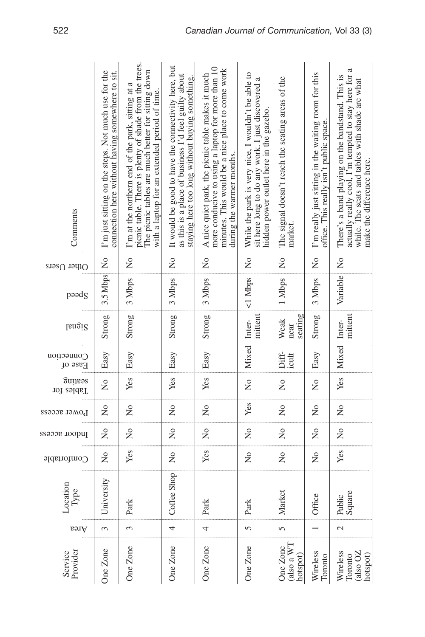| Comments                                                   | I'm just sitting on the steps. Not much use for the<br>connection here without having somewhere to sit. | picnic table. There is plenty of shade from the trees.<br>The picnic tables are much better for sitting down<br>I'm at the northern end of the park, sitting at a<br>with a laptop for an extended period of time. | It would be good to have the connectivity here, but<br>as this is a place of business I'd feel guilty about<br>staying here too long without buying something. | more conducive to using a laptop for more than 10<br>minutes. This would be a nice place to come work<br>A nice quiet park, the picnic table makes it much<br>during the warmer months. | While the park is very nice, I wouldn't be able to<br>sit here long to do any work. I just discovered a<br>hidden power outlet here in the gazebo. | The signal doesn't reach the seating areas of the<br>market. | I'm really just sitting in the waiting room for this<br>office. This really isn't public space. | actually really cool, I'm tempted to stay here for a<br>There's a band playing on the bandstand. This is<br>while. The seats and tables with shade are what<br>make the difference here. |
|------------------------------------------------------------|---------------------------------------------------------------------------------------------------------|--------------------------------------------------------------------------------------------------------------------------------------------------------------------------------------------------------------------|----------------------------------------------------------------------------------------------------------------------------------------------------------------|-----------------------------------------------------------------------------------------------------------------------------------------------------------------------------------------|----------------------------------------------------------------------------------------------------------------------------------------------------|--------------------------------------------------------------|-------------------------------------------------------------------------------------------------|------------------------------------------------------------------------------------------------------------------------------------------------------------------------------------------|
| Other Users                                                |                                                                                                         | $\frac{1}{2}$                                                                                                                                                                                                      | $\overline{\mathsf{X}}$                                                                                                                                        | $\overline{\mathsf{X}}$                                                                                                                                                                 | $\tilde{z}$                                                                                                                                        | $\mathsf{S}^{\mathsf{O}}$                                    | $\mathsf{S}^{\mathsf{O}}$                                                                       | $\overline{a}$                                                                                                                                                                           |
| poods                                                      | 3.5 Mbps No                                                                                             | 3 Mbps                                                                                                                                                                                                             | 3 Mbps                                                                                                                                                         | 3 Mbps                                                                                                                                                                                  | <1 Mbps                                                                                                                                            | 1 Mbps                                                       | 3 Mbps                                                                                          | Variable                                                                                                                                                                                 |
| <b>IsngiZ</b>                                              | Strong                                                                                                  | Strong                                                                                                                                                                                                             | Strong                                                                                                                                                         | Strong                                                                                                                                                                                  | mittent<br>Inter-                                                                                                                                  | seating<br>Weak<br>near                                      | Strong                                                                                          | mittent<br>Inter-                                                                                                                                                                        |
| Connection<br>Ease of                                      | Easy                                                                                                    | Easy                                                                                                                                                                                                               | Easy                                                                                                                                                           | Easy                                                                                                                                                                                    | Mixed                                                                                                                                              | Diff-<br>icult                                               | Easy                                                                                            | Mixed                                                                                                                                                                                    |
| scating<br>Tables for                                      | $\frac{1}{2}$                                                                                           | Yes                                                                                                                                                                                                                | Yes                                                                                                                                                            | Yes                                                                                                                                                                                     | $\mathsf{S}^{\mathsf{o}}$                                                                                                                          | $\mathsf{S}^{\mathsf{O}}$                                    | $\frac{1}{2}$                                                                                   | Yes                                                                                                                                                                                      |
| Power access                                               | $\mathsf{S}^{\mathsf{O}}$                                                                               | $\mathsf{S}^{\mathsf{O}}$                                                                                                                                                                                          | $\frac{1}{2}$                                                                                                                                                  | $\frac{1}{2}$                                                                                                                                                                           | Yes                                                                                                                                                | $\mathsf{S}^{\mathsf{O}}$                                    | $\frac{1}{2}$                                                                                   | $\overline{\mathsf{z}}$                                                                                                                                                                  |
| puqoor access                                              | $\frac{1}{2}$                                                                                           | $\frac{1}{2}$                                                                                                                                                                                                      | $\overline{\mathsf{z}}$                                                                                                                                        | $\overline{\mathsf{z}}$                                                                                                                                                                 | $\mathsf{S}^{\mathsf{O}}$                                                                                                                          | $\mathsf{S}^{\mathsf{O}}$                                    | $\mathsf{S}^{\mathsf{O}}$                                                                       | $\overline{\mathsf{z}}$                                                                                                                                                                  |
| Comfortable                                                | $\frac{1}{2}$                                                                                           | Yes                                                                                                                                                                                                                | $\overline{\mathsf{z}}$                                                                                                                                        | Yes                                                                                                                                                                                     | $\rm \stackrel{\circ}{\rm X}$                                                                                                                      | $\mathop{\mathsf{S}}\nolimits$                               | $\rm \stackrel{\circ}{\rm X}$                                                                   | Yes                                                                                                                                                                                      |
| $\begin{array}{c}\text{Location}\\ \text{Type}\end{array}$ | University                                                                                              | Park                                                                                                                                                                                                               | ee Shop<br>Coff                                                                                                                                                | Park                                                                                                                                                                                    | Park                                                                                                                                               | ket<br>Marl                                                  | Office                                                                                          | Square<br>$\overline{a}$<br>Publi                                                                                                                                                        |
| Area                                                       | 3                                                                                                       | 3                                                                                                                                                                                                                  | 4                                                                                                                                                              | 4                                                                                                                                                                                       | 5                                                                                                                                                  | 5                                                            |                                                                                                 | $\mathcal{L}$                                                                                                                                                                            |
| Provider<br>Service                                        | One Zone                                                                                                | One Zone                                                                                                                                                                                                           | One Zone                                                                                                                                                       | One $Z$ one                                                                                                                                                                             | One Zone                                                                                                                                           | (also a W <sub>1</sub><br>One Zone<br>hotspot)               | Wireless<br>Toronto                                                                             | Wireless<br>(also OZ<br>hotspot)<br>Toronto                                                                                                                                              |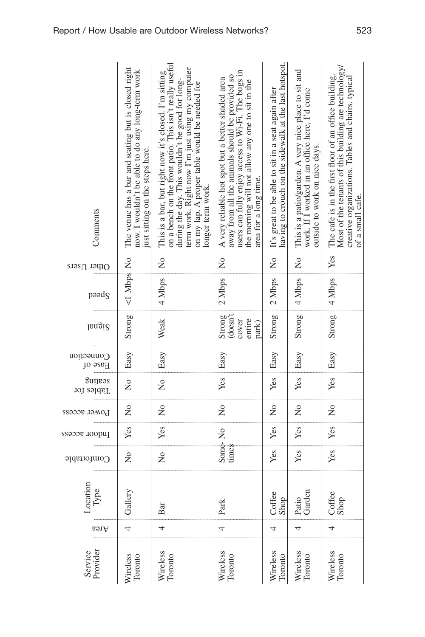| Comments              | The venue has a bar and seating but is closed right<br>now. I wouldn't be able to do any long-term work<br>ust sitting on the steps here. | on a bench on the front patio. This isn't really useful<br>term work. Right now I'm just using my computer<br>This is a bar, but right now it's closed. I'm sitting<br>during the day. This wouldn't be good for long-<br>on my lap. A proper table would be needed for<br>longer term work. | users can fully enjoy access to Wi-Fi. The bugs in<br>away from all the animals should be provided so<br>A very reliable hot spot but a better shaded area<br>the morning will not allow any one to sit in the<br>area for a long time. | having to crouch on the sidewalk at the last hotspot.<br>It's great to be able to sit in a seat again after | This is a patio/garden. A very nice place to sit and<br>work. If I worked in an office here, I'd come<br>putside to work on nice days. | Most of the tenants of this building are technology/<br>The cafe is in the first floor of an office building.<br>creative organizations. Tables and chairs, typical<br>of a small cate. |
|-----------------------|-------------------------------------------------------------------------------------------------------------------------------------------|----------------------------------------------------------------------------------------------------------------------------------------------------------------------------------------------------------------------------------------------------------------------------------------------|-----------------------------------------------------------------------------------------------------------------------------------------------------------------------------------------------------------------------------------------|-------------------------------------------------------------------------------------------------------------|----------------------------------------------------------------------------------------------------------------------------------------|-----------------------------------------------------------------------------------------------------------------------------------------------------------------------------------------|
| Other Users           |                                                                                                                                           | $\overline{\mathsf{x}}$                                                                                                                                                                                                                                                                      | $\frac{1}{2}$                                                                                                                                                                                                                           | $\tilde{\mathsf{z}}$                                                                                        | $\tilde{\mathsf{z}}$                                                                                                                   | Yes                                                                                                                                                                                     |
| paads                 | <1 Mbps No                                                                                                                                | 4 Mbps                                                                                                                                                                                                                                                                                       | 2 Mbps                                                                                                                                                                                                                                  | 2 Mbps                                                                                                      | 4 Mbps                                                                                                                                 | 4 Mbps                                                                                                                                                                                  |
| <b>Signal</b>         | Strong                                                                                                                                    | Weak                                                                                                                                                                                                                                                                                         | Strong<br>$d$ oesn't<br>entire<br>cover<br>park)                                                                                                                                                                                        | Strong                                                                                                      | Strong                                                                                                                                 | Strong                                                                                                                                                                                  |
| Connection<br>Ease of | Easy                                                                                                                                      | Easy                                                                                                                                                                                                                                                                                         | Easy                                                                                                                                                                                                                                    | Easy                                                                                                        | Easy                                                                                                                                   | Easy                                                                                                                                                                                    |
| scating<br>Tables for | $\frac{1}{2}$                                                                                                                             | $\frac{1}{2}$                                                                                                                                                                                                                                                                                | Yes                                                                                                                                                                                                                                     | Yes                                                                                                         | Yes                                                                                                                                    | Yes                                                                                                                                                                                     |
| Power access          | $\frac{1}{2}$                                                                                                                             | $\frac{1}{2}$                                                                                                                                                                                                                                                                                | $\overline{\mathsf{z}}$                                                                                                                                                                                                                 | $\overline{\mathsf{z}}$                                                                                     | $\overline{\mathsf{z}}$                                                                                                                | $\frac{1}{2}$                                                                                                                                                                           |
| Indoor access         | Yes                                                                                                                                       | Yes                                                                                                                                                                                                                                                                                          |                                                                                                                                                                                                                                         | Yes                                                                                                         | Yes                                                                                                                                    | Yes                                                                                                                                                                                     |
| $\Omega$ omfortable   | $\overline{\mathsf{z}}$                                                                                                                   | $\tilde{z}$                                                                                                                                                                                                                                                                                  | Some-No<br>times                                                                                                                                                                                                                        | Yes                                                                                                         | Yes                                                                                                                                    | Yes                                                                                                                                                                                     |
| Location<br>Type      | lery<br>٦ā                                                                                                                                | Bar                                                                                                                                                                                                                                                                                          | Park                                                                                                                                                                                                                                    | Coffee<br>Shop                                                                                              | Garden<br>Patio                                                                                                                        | fee<br>Shop<br>5<br>Cofi                                                                                                                                                                |
| Area                  | 4                                                                                                                                         | 4                                                                                                                                                                                                                                                                                            | 4                                                                                                                                                                                                                                       | 4                                                                                                           | 4                                                                                                                                      | 4                                                                                                                                                                                       |
| Provider<br>Service   | Wireless<br>Toronto                                                                                                                       | Wireless<br>Toronto                                                                                                                                                                                                                                                                          | Wireless<br>Toronto                                                                                                                                                                                                                     | Wireless<br>Toronto                                                                                         | Wireless<br>Toronto                                                                                                                    | Wireless<br>Toronto                                                                                                                                                                     |